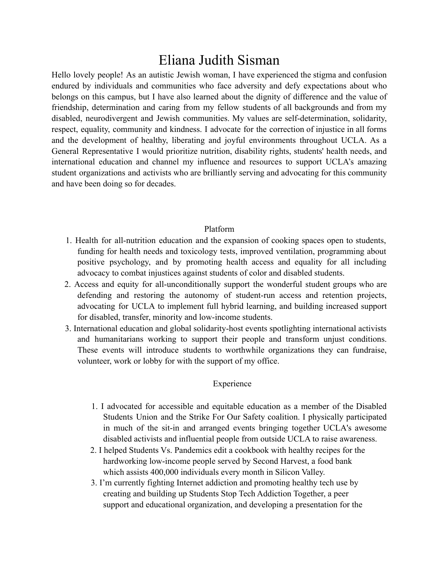## Eliana Judith Sisman

Hello lovely people! As an autistic Jewish woman, I have experienced the stigma and confusion endured by individuals and communities who face adversity and defy expectations about who belongs on this campus, but I have also learned about the dignity of difference and the value of friendship, determination and caring from my fellow students of all backgrounds and from my disabled, neurodivergent and Jewish communities. My values are self-determination, solidarity, respect, equality, community and kindness. I advocate for the correction of injustice in all forms and the development of healthy, liberating and joyful environments throughout UCLA. As a General Representative I would prioritize nutrition, disability rights, students' health needs, and international education and channel my influence and resources to support UCLA's amazing student organizations and activists who are brilliantly serving and advocating for this community and have been doing so for decades.

## Platform

- 1. Health for all-nutrition education and the expansion of cooking spaces open to students, funding for health needs and toxicology tests, improved ventilation, programming about positive psychology, and by promoting health access and equality for all including advocacy to combat injustices against students of color and disabled students.
- 2. Access and equity for all-unconditionally support the wonderful student groups who are defending and restoring the autonomy of student-run access and retention projects, advocating for UCLA to implement full hybrid learning, and building increased support for disabled, transfer, minority and low-income students.
- 3. International education and global solidarity-host events spotlighting international activists and humanitarians working to support their people and transform unjust conditions. These events will introduce students to worthwhile organizations they can fundraise, volunteer, work or lobby for with the support of my office.

## Experience

- 1. I advocated for accessible and equitable education as a member of the Disabled Students Union and the Strike For Our Safety coalition. I physically participated in much of the sit-in and arranged events bringing together UCLA's awesome disabled activists and influential people from outside UCLA to raise awareness.
- 2. I helped Students Vs. Pandemics edit a cookbook with healthy recipes for the hardworking low-income people served by Second Harvest, a food bank which assists 400,000 individuals every month in Silicon Valley.
- 3. I'm currently fighting Internet addiction and promoting healthy tech use by creating and building up Students Stop Tech Addiction Together, a peer support and educational organization, and developing a presentation for the